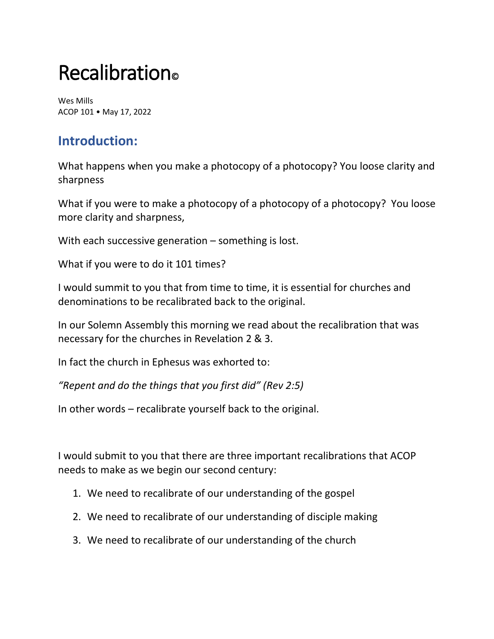# Recalibration<sup>®</sup>

Wes Mills ACOP 101 • May 17, 2022

# **Introduction:**

What happens when you make a photocopy of a photocopy? You loose clarity and sharpness

What if you were to make a photocopy of a photocopy of a photocopy? You loose more clarity and sharpness,

With each successive generation – something is lost.

What if you were to do it 101 times?

I would summit to you that from time to time, it is essential for churches and denominations to be recalibrated back to the original.

In our Solemn Assembly this morning we read about the recalibration that was necessary for the churches in Revelation 2 & 3.

In fact the church in Ephesus was exhorted to:

*"Repent and do the things that you first did" (Rev 2:5)*

In other words – recalibrate yourself back to the original.

I would submit to you that there are three important recalibrations that ACOP needs to make as we begin our second century:

- 1. We need to recalibrate of our understanding of the gospel
- 2. We need to recalibrate of our understanding of disciple making
- 3. We need to recalibrate of our understanding of the church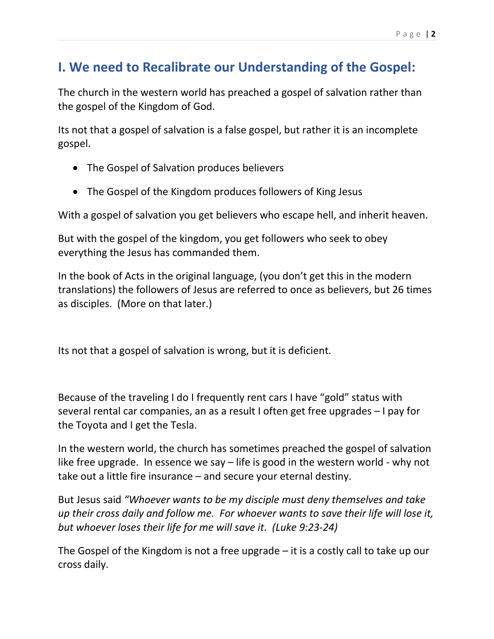# **I. We need to Recalibrate our Understanding of the Gospel:**

The church in the western world has preached a gospel of salvation rather than the gospel of the Kingdom of God.

Its not that a gospel of salvation is a false gospel, but rather it is an incomplete gospel.

- The Gospel of Salvation produces believers
- The Gospel of the Kingdom produces followers of King Jesus

With a gospel of salvation you get believers who escape hell, and inherit heaven.

But with the gospel of the kingdom, you get followers who seek to obey everything the Jesus has commanded them.

In the book of Acts in the original language, (you don't get this in the modern translations) the followers of Jesus are referred to once as believers, but 26 times as disciples. (More on that later.)

Its not that a gospel of salvation is wrong, but it is deficient.

Because of the traveling I do I frequently rent cars I have "gold" status with several rental car companies, an as a result I often get free upgrades – I pay for the Toyota and I get the Tesla.

In the western world, the church has sometimes preached the gospel of salvation like free upgrade. In essence we say – life is good in the western world - why not take out a little fire insurance – and secure your eternal destiny.

But Jesus said *"Whoever wants to be my disciple must deny themselves and take up their cross daily and follow me. For whoever wants to save their life will lose it, but whoever loses their life for me will save it. (Luke 9:23-24)*

The Gospel of the Kingdom is not a free upgrade – it is a costly call to take up our cross daily.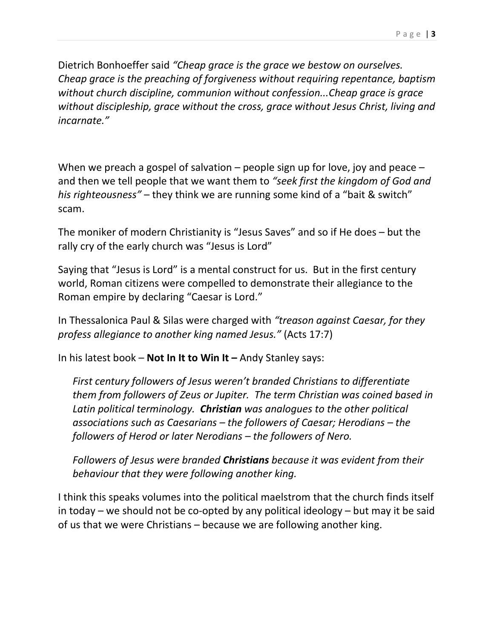Dietrich Bonhoeffer said *"Cheap grace is the grace we bestow on ourselves. Cheap grace is the preaching of forgiveness without requiring repentance, baptism without church discipline, communion without confession...Cheap grace is grace without discipleship, grace without the cross, grace without Jesus Christ, living and incarnate."*

When we preach a gospel of salvation  $-$  people sign up for love, joy and peace  $$ and then we tell people that we want them to *"seek first the kingdom of God and his righteousness"* – they think we are running some kind of a "bait & switch" scam.

The moniker of modern Christianity is "Jesus Saves" and so if He does – but the rally cry of the early church was "Jesus is Lord"

Saying that "Jesus is Lord" is a mental construct for us. But in the first century world, Roman citizens were compelled to demonstrate their allegiance to the Roman empire by declaring "Caesar is Lord."

In Thessalonica Paul & Silas were charged with *"treason against Caesar, for they profess allegiance to another king named Jesus."* (Acts 17:7)

In his latest book – **Not In It to Win It –** Andy Stanley says:

*First century followers of Jesus weren't branded Christians to differentiate them from followers of Zeus or Jupiter. The term Christian was coined based in Latin political terminology. Christian was analogues to the other political associations such as Caesarians – the followers of Caesar; Herodians – the followers of Herod or later Nerodians – the followers of Nero.*

*Followers of Jesus were branded Christians because it was evident from their behaviour that they were following another king.*

I think this speaks volumes into the political maelstrom that the church finds itself in today – we should not be co-opted by any political ideology – but may it be said of us that we were Christians – because we are following another king.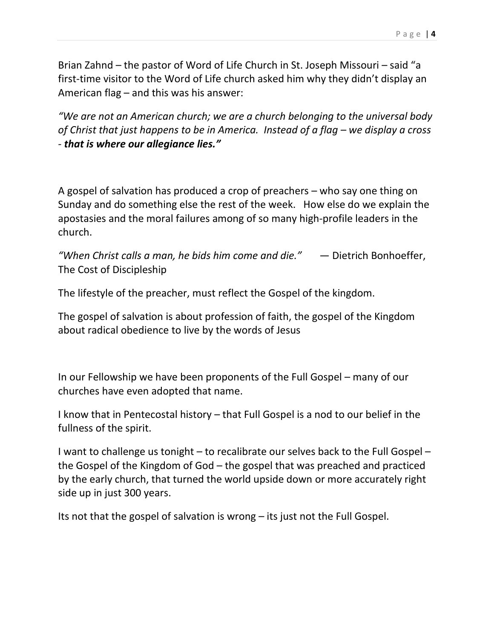Brian Zahnd – the pastor of Word of Life Church in St. Joseph Missouri – said "a first-time visitor to the Word of Life church asked him why they didn't display an American flag – and this was his answer:

*"We are not an American church; we are a church belonging to the universal body of Christ that just happens to be in America. Instead of a flag – we display a cross - that is where our allegiance lies."*

A gospel of salvation has produced a crop of preachers – who say one thing on Sunday and do something else the rest of the week. How else do we explain the apostasies and the moral failures among of so many high-profile leaders in the church.

*"When Christ calls a man, he bids him come and die."* ― Dietrich Bonhoeffer, The Cost of Discipleship

The lifestyle of the preacher, must reflect the Gospel of the kingdom.

The gospel of salvation is about profession of faith, the gospel of the Kingdom about radical obedience to live by the words of Jesus

In our Fellowship we have been proponents of the Full Gospel – many of our churches have even adopted that name.

I know that in Pentecostal history – that Full Gospel is a nod to our belief in the fullness of the spirit.

I want to challenge us tonight – to recalibrate our selves back to the Full Gospel – the Gospel of the Kingdom of God – the gospel that was preached and practiced by the early church, that turned the world upside down or more accurately right side up in just 300 years.

Its not that the gospel of salvation is wrong – its just not the Full Gospel.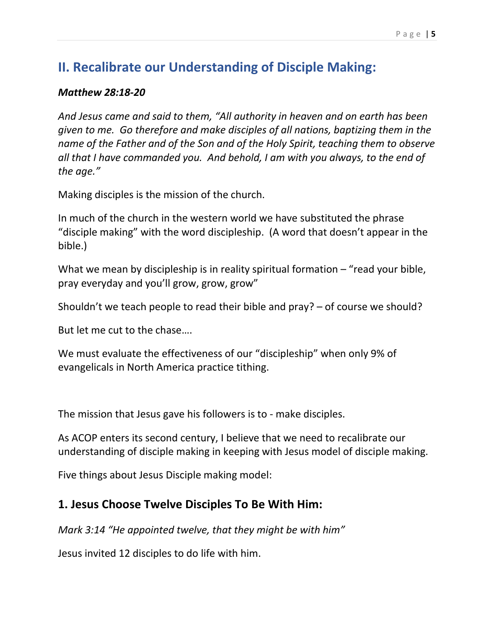# **II. Recalibrate our Understanding of Disciple Making:**

#### *Matthew 28:18-20*

*And Jesus came and said to them, "All authority in heaven and on earth has been given to me. Go therefore and make disciples of all nations, baptizing them in the name of the Father and of the Son and of the Holy Spirit, teaching them to observe all that I have commanded you. And behold, I am with you always, to the end of the age."*

Making disciples is the mission of the church.

In much of the church in the western world we have substituted the phrase "disciple making" with the word discipleship. (A word that doesn't appear in the bible.)

What we mean by discipleship is in reality spiritual formation – "read your bible, pray everyday and you'll grow, grow, grow"

Shouldn't we teach people to read their bible and pray? – of course we should?

But let me cut to the chase….

We must evaluate the effectiveness of our "discipleship" when only 9% of evangelicals in North America practice tithing.

The mission that Jesus gave his followers is to - make disciples.

As ACOP enters its second century, I believe that we need to recalibrate our understanding of disciple making in keeping with Jesus model of disciple making.

Five things about Jesus Disciple making model:

### **1. Jesus Choose Twelve Disciples To Be With Him:**

*Mark 3:14 "He appointed twelve, that they might be with him"*

Jesus invited 12 disciples to do life with him.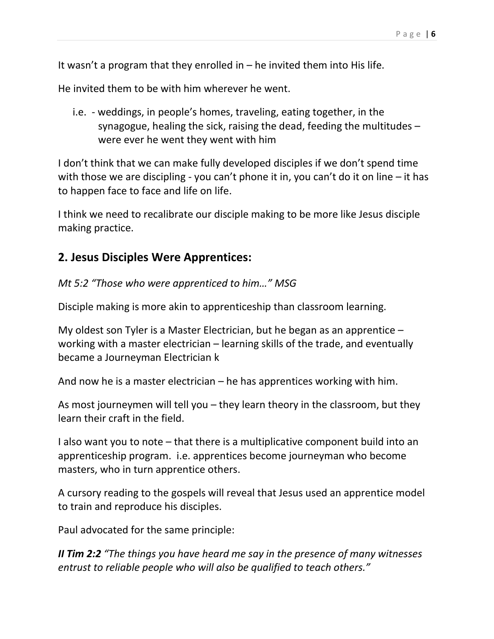It wasn't a program that they enrolled in  $-$  he invited them into His life.

He invited them to be with him wherever he went.

i.e. - weddings, in people's homes, traveling, eating together, in the synagogue, healing the sick, raising the dead, feeding the multitudes – were ever he went they went with him

I don't think that we can make fully developed disciples if we don't spend time with those we are discipling - you can't phone it in, you can't do it on line – it has to happen face to face and life on life.

I think we need to recalibrate our disciple making to be more like Jesus disciple making practice.

### **2. Jesus Disciples Were Apprentices:**

*Mt 5:2 "Those who were apprenticed to him…" MSG*

Disciple making is more akin to apprenticeship than classroom learning.

My oldest son Tyler is a Master Electrician, but he began as an apprentice – working with a master electrician – learning skills of the trade, and eventually became a Journeyman Electrician k

And now he is a master electrician – he has apprentices working with him.

As most journeymen will tell you – they learn theory in the classroom, but they learn their craft in the field.

I also want you to note – that there is a multiplicative component build into an apprenticeship program. i.e. apprentices become journeyman who become masters, who in turn apprentice others.

A cursory reading to the gospels will reveal that Jesus used an apprentice model to train and reproduce his disciples.

Paul advocated for the same principle:

*II Tim 2:2 "The things you have heard me say in the presence of many witnesses entrust to reliable people who will also be qualified to teach others."*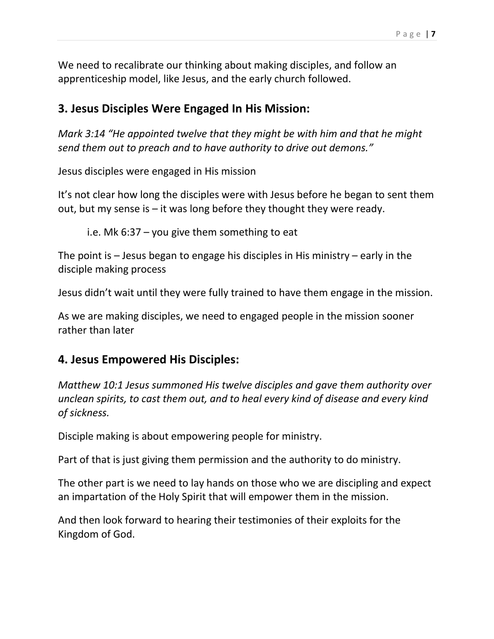We need to recalibrate our thinking about making disciples, and follow an apprenticeship model, like Jesus, and the early church followed.

### **3. Jesus Disciples Were Engaged In His Mission:**

*Mark 3:14 "He appointed twelve that they might be with him and that he might send them out to preach and to have authority to drive out demons."*

Jesus disciples were engaged in His mission

It's not clear how long the disciples were with Jesus before he began to sent them out, but my sense is – it was long before they thought they were ready.

i.e. Mk 6:37 – you give them something to eat

The point is – Jesus began to engage his disciples in His ministry – early in the disciple making process

Jesus didn't wait until they were fully trained to have them engage in the mission.

As we are making disciples, we need to engaged people in the mission sooner rather than later

### **4. Jesus Empowered His Disciples:**

*Matthew 10:1 Jesus summoned His twelve disciples and gave them authority over unclean spirits, to cast them out, and to heal every kind of disease and every kind of sickness.*

Disciple making is about empowering people for ministry.

Part of that is just giving them permission and the authority to do ministry.

The other part is we need to lay hands on those who we are discipling and expect an impartation of the Holy Spirit that will empower them in the mission.

And then look forward to hearing their testimonies of their exploits for the Kingdom of God.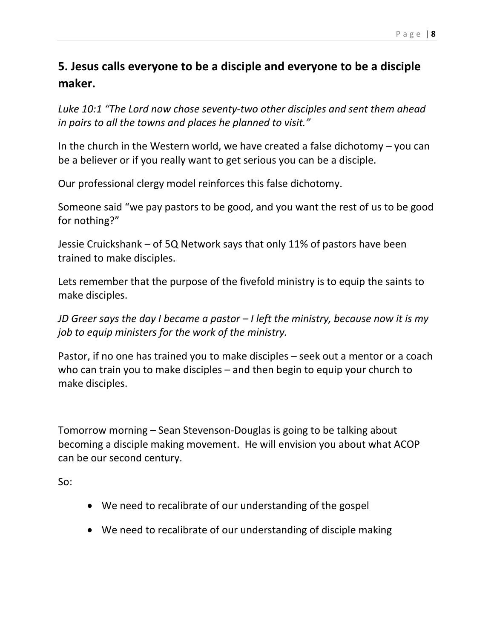## **5. Jesus calls everyone to be a disciple and everyone to be a disciple maker.**

*Luke 10:1 "The Lord now chose seventy-two other disciples and sent them ahead in pairs to all the towns and places he planned to visit."*

In the church in the Western world, we have created a false dichotomy  $-$  you can be a believer or if you really want to get serious you can be a disciple.

Our professional clergy model reinforces this false dichotomy.

Someone said "we pay pastors to be good, and you want the rest of us to be good for nothing?"

Jessie Cruickshank – of 5Q Network says that only 11% of pastors have been trained to make disciples.

Lets remember that the purpose of the fivefold ministry is to equip the saints to make disciples.

*JD Greer says the day I became a pastor – I left the ministry, because now it is my job to equip ministers for the work of the ministry.*

Pastor, if no one has trained you to make disciples – seek out a mentor or a coach who can train you to make disciples – and then begin to equip your church to make disciples.

Tomorrow morning – Sean Stevenson-Douglas is going to be talking about becoming a disciple making movement. He will envision you about what ACOP can be our second century.

So:

- We need to recalibrate of our understanding of the gospel
- We need to recalibrate of our understanding of disciple making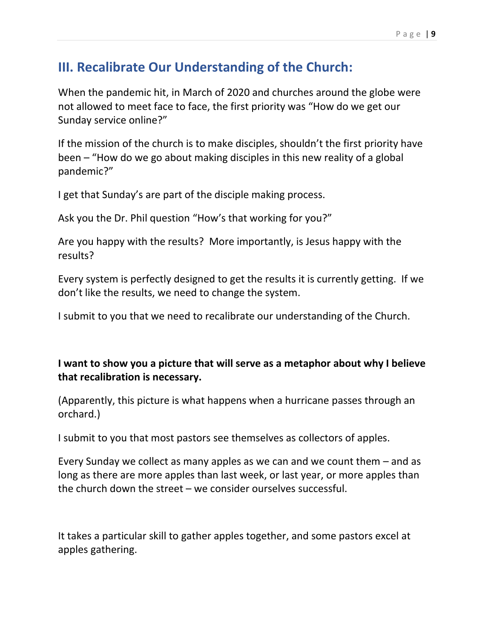# **III. Recalibrate Our Understanding of the Church:**

When the pandemic hit, in March of 2020 and churches around the globe were not allowed to meet face to face, the first priority was "How do we get our Sunday service online?"

If the mission of the church is to make disciples, shouldn't the first priority have been – "How do we go about making disciples in this new reality of a global pandemic?"

I get that Sunday's are part of the disciple making process.

Ask you the Dr. Phil question "How's that working for you?"

Are you happy with the results? More importantly, is Jesus happy with the results?

Every system is perfectly designed to get the results it is currently getting. If we don't like the results, we need to change the system.

I submit to you that we need to recalibrate our understanding of the Church.

### **I want to show you a picture that will serve as a metaphor about why I believe that recalibration is necessary.**

(Apparently, this picture is what happens when a hurricane passes through an orchard.)

I submit to you that most pastors see themselves as collectors of apples.

Every Sunday we collect as many apples as we can and we count them – and as long as there are more apples than last week, or last year, or more apples than the church down the street – we consider ourselves successful.

It takes a particular skill to gather apples together, and some pastors excel at apples gathering.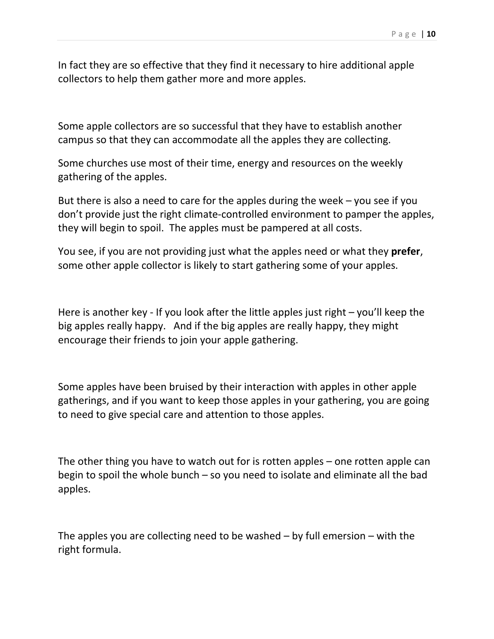In fact they are so effective that they find it necessary to hire additional apple collectors to help them gather more and more apples.

Some apple collectors are so successful that they have to establish another campus so that they can accommodate all the apples they are collecting.

Some churches use most of their time, energy and resources on the weekly gathering of the apples.

But there is also a need to care for the apples during the week – you see if you don't provide just the right climate-controlled environment to pamper the apples, they will begin to spoil. The apples must be pampered at all costs.

You see, if you are not providing just what the apples need or what they **prefer**, some other apple collector is likely to start gathering some of your apples.

Here is another key - If you look after the little apples just right – you'll keep the big apples really happy. And if the big apples are really happy, they might encourage their friends to join your apple gathering.

Some apples have been bruised by their interaction with apples in other apple gatherings, and if you want to keep those apples in your gathering, you are going to need to give special care and attention to those apples.

The other thing you have to watch out for is rotten apples – one rotten apple can begin to spoil the whole bunch – so you need to isolate and eliminate all the bad apples.

The apples you are collecting need to be washed  $-$  by full emersion  $-$  with the right formula.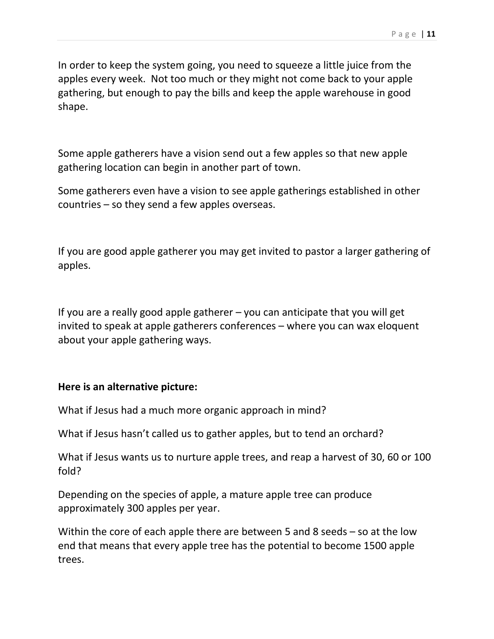In order to keep the system going, you need to squeeze a little juice from the apples every week. Not too much or they might not come back to your apple gathering, but enough to pay the bills and keep the apple warehouse in good shape.

Some apple gatherers have a vision send out a few apples so that new apple gathering location can begin in another part of town.

Some gatherers even have a vision to see apple gatherings established in other countries – so they send a few apples overseas.

If you are good apple gatherer you may get invited to pastor a larger gathering of apples.

If you are a really good apple gatherer – you can anticipate that you will get invited to speak at apple gatherers conferences – where you can wax eloquent about your apple gathering ways.

#### **Here is an alternative picture:**

What if Jesus had a much more organic approach in mind?

What if Jesus hasn't called us to gather apples, but to tend an orchard?

What if Jesus wants us to nurture apple trees, and reap a harvest of 30, 60 or 100 fold?

Depending on the species of apple, a mature apple tree can produce approximately 300 apples per year.

Within the core of each apple there are between 5 and 8 seeds – so at the low end that means that every apple tree has the potential to become 1500 apple trees.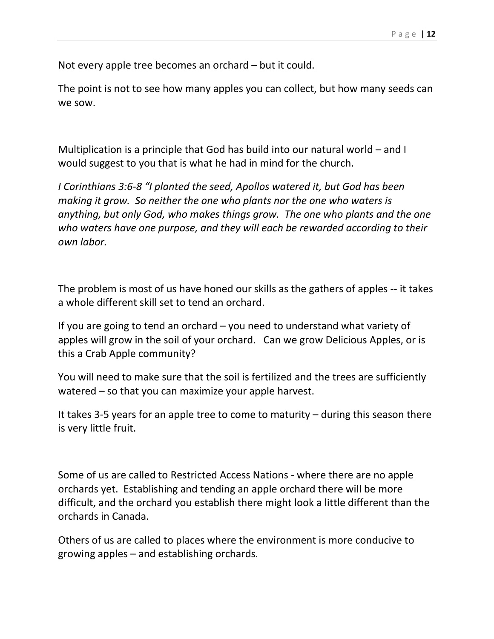Not every apple tree becomes an orchard – but it could.

The point is not to see how many apples you can collect, but how many seeds can we sow.

Multiplication is a principle that God has build into our natural world – and I would suggest to you that is what he had in mind for the church.

*I Corinthians 3:6-8 "I planted the seed, Apollos watered it, but God has been making it grow. So neither the one who plants nor the one who waters is anything, but only God, who makes things grow. The one who plants and the one who waters have one purpose, and they will each be rewarded according to their own labor.*

The problem is most of us have honed our skills as the gathers of apples -- it takes a whole different skill set to tend an orchard.

If you are going to tend an orchard – you need to understand what variety of apples will grow in the soil of your orchard. Can we grow Delicious Apples, or is this a Crab Apple community?

You will need to make sure that the soil is fertilized and the trees are sufficiently watered – so that you can maximize your apple harvest.

It takes 3-5 years for an apple tree to come to maturity – during this season there is very little fruit.

Some of us are called to Restricted Access Nations - where there are no apple orchards yet. Establishing and tending an apple orchard there will be more difficult, and the orchard you establish there might look a little different than the orchards in Canada.

Others of us are called to places where the environment is more conducive to growing apples – and establishing orchards*.*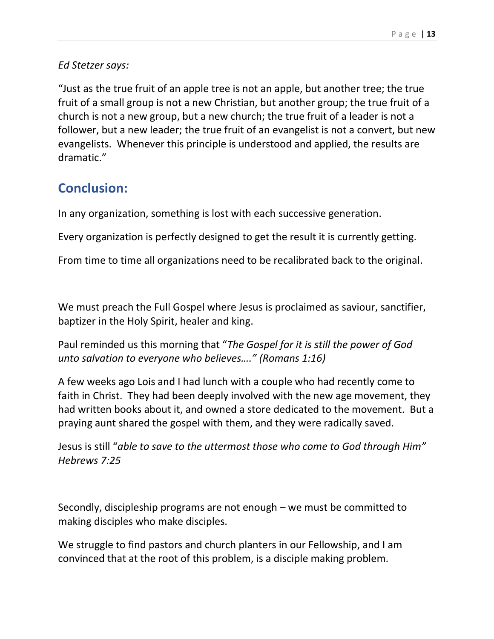#### *Ed Stetzer says:*

"Just as the true fruit of an apple tree is not an apple, but another tree; the true fruit of a small group is not a new Christian, but another group; the true fruit of a church is not a new group, but a new church; the true fruit of a leader is not a follower, but a new leader; the true fruit of an evangelist is not a convert, but new evangelists. Whenever this principle is understood and applied, the results are dramatic."

### **Conclusion:**

In any organization, something is lost with each successive generation.

Every organization is perfectly designed to get the result it is currently getting.

From time to time all organizations need to be recalibrated back to the original.

We must preach the Full Gospel where Jesus is proclaimed as saviour, sanctifier, baptizer in the Holy Spirit, healer and king.

Paul reminded us this morning that "*The Gospel for it is still the power of God unto salvation to everyone who believes…." (Romans 1:16)*

A few weeks ago Lois and I had lunch with a couple who had recently come to faith in Christ. They had been deeply involved with the new age movement, they had written books about it, and owned a store dedicated to the movement. But a praying aunt shared the gospel with them, and they were radically saved.

Jesus is still "*able to save to the uttermost those who come to God through Him" Hebrews 7:25*

Secondly, discipleship programs are not enough – we must be committed to making disciples who make disciples.

We struggle to find pastors and church planters in our Fellowship, and I am convinced that at the root of this problem, is a disciple making problem.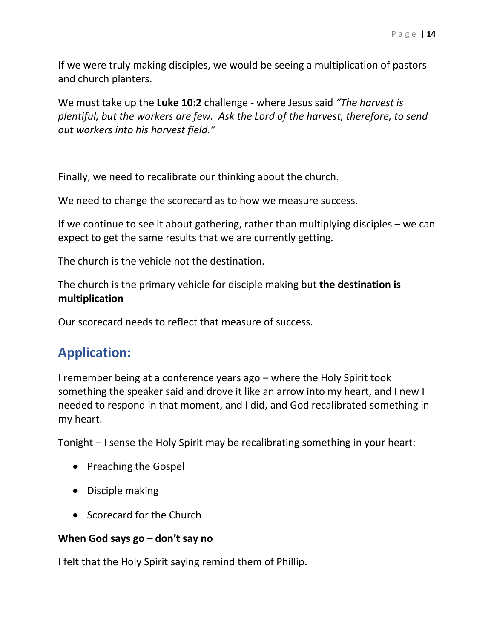If we were truly making disciples, we would be seeing a multiplication of pastors and church planters.

We must take up the **Luke 10:2** challenge - where Jesus said *"The harvest is plentiful, but the workers are few. Ask the Lord of the harvest, therefore, to send out workers into his harvest field."*

Finally, we need to recalibrate our thinking about the church.

We need to change the scorecard as to how we measure success.

If we continue to see it about gathering, rather than multiplying disciples – we can expect to get the same results that we are currently getting.

The church is the vehicle not the destination.

The church is the primary vehicle for disciple making but **the destination is multiplication**

Our scorecard needs to reflect that measure of success.

# **Application:**

I remember being at a conference years ago – where the Holy Spirit took something the speaker said and drove it like an arrow into my heart, and I new I needed to respond in that moment, and I did, and God recalibrated something in my heart.

Tonight – I sense the Holy Spirit may be recalibrating something in your heart:

- Preaching the Gospel
- Disciple making
- Scorecard for the Church

#### **When God says go – don't say no**

I felt that the Holy Spirit saying remind them of Phillip.